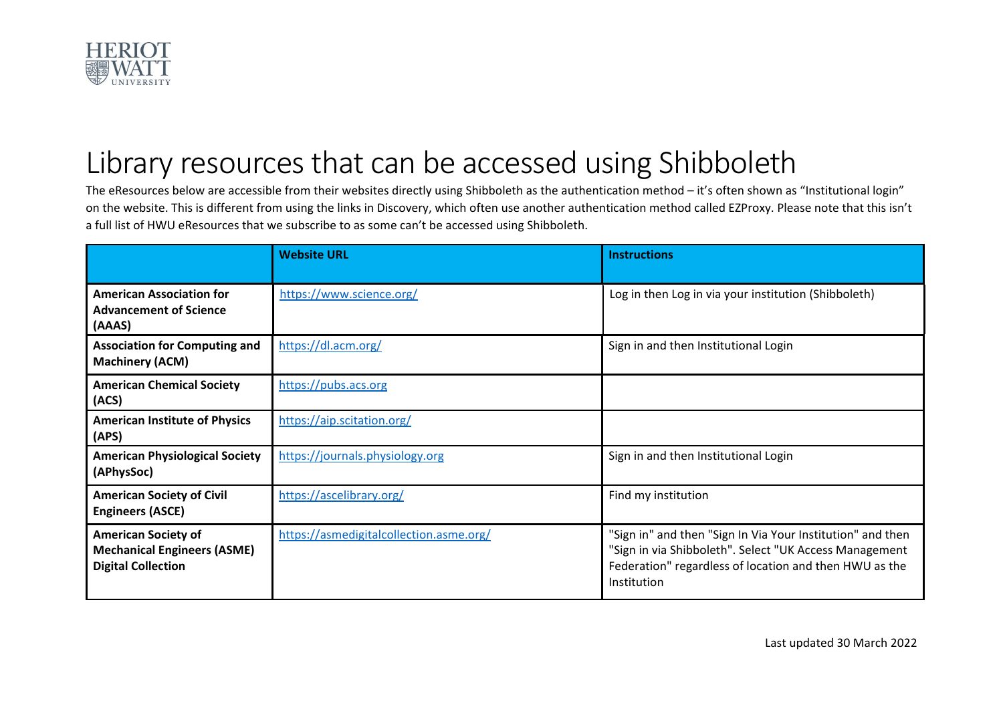

## Library resources that can be accessed using Shibboleth

The eResources below are accessible from their websites directly using Shibboleth as the authentication method – it's often shown as "Institutional login" on the website. This is different from using the links in Discovery, which often use another authentication method called EZProxy. Please note that this isn't a full list of HWU eResources that we subscribe to as some can't be accessed using Shibboleth.

|                                                                                               | <b>Website URL</b>                      | <b>Instructions</b>                                                                                                                                                                           |
|-----------------------------------------------------------------------------------------------|-----------------------------------------|-----------------------------------------------------------------------------------------------------------------------------------------------------------------------------------------------|
| <b>American Association for</b><br><b>Advancement of Science</b><br>(AAAS)                    | https://www.science.org/                | Log in then Log in via your institution (Shibboleth)                                                                                                                                          |
| <b>Association for Computing and</b><br><b>Machinery (ACM)</b>                                | https://dl.acm.org/                     | Sign in and then Institutional Login                                                                                                                                                          |
| <b>American Chemical Society</b><br>(ACS)                                                     | https://pubs.acs.org                    |                                                                                                                                                                                               |
| <b>American Institute of Physics</b><br>(APS)                                                 | https://aip.scitation.org/              |                                                                                                                                                                                               |
| <b>American Physiological Society</b><br>(APhysSoc)                                           | https://journals.physiology.org         | Sign in and then Institutional Login                                                                                                                                                          |
| <b>American Society of Civil</b><br><b>Engineers (ASCE)</b>                                   | https://ascelibrary.org/                | Find my institution                                                                                                                                                                           |
| <b>American Society of</b><br><b>Mechanical Engineers (ASME)</b><br><b>Digital Collection</b> | https://asmedigitalcollection.asme.org/ | "Sign in" and then "Sign In Via Your Institution" and then<br>"Sign in via Shibboleth". Select "UK Access Management<br>Federation" regardless of location and then HWU as the<br>Institution |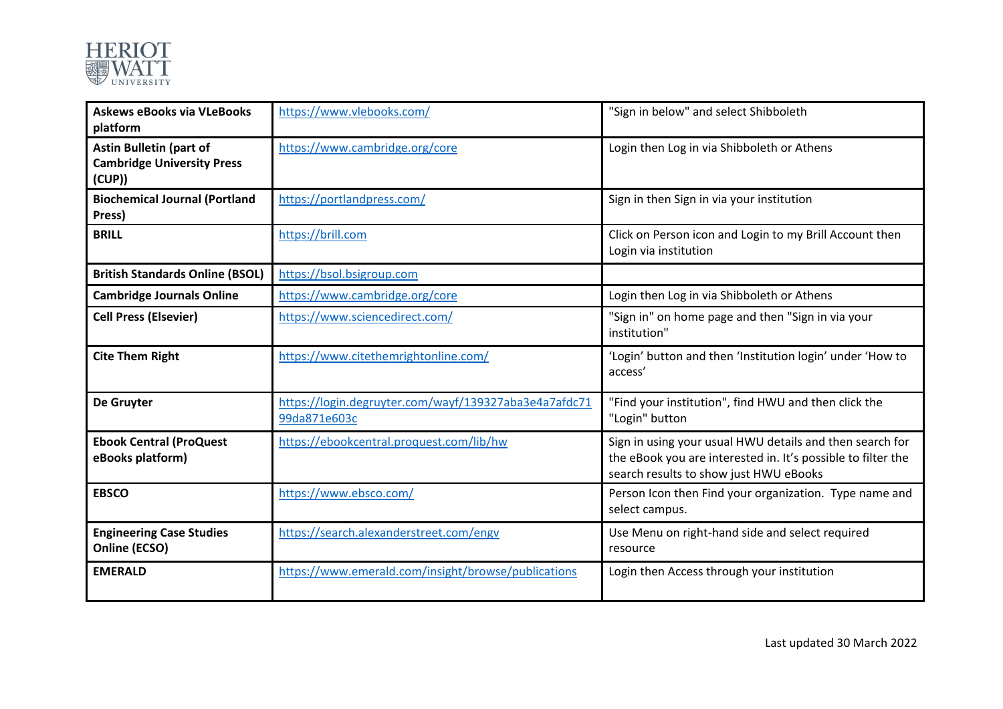

| <b>Askews eBooks via VLeBooks</b><br>platform                                 | https://www.vlebooks.com/                                             | "Sign in below" and select Shibboleth                                                                                                                              |
|-------------------------------------------------------------------------------|-----------------------------------------------------------------------|--------------------------------------------------------------------------------------------------------------------------------------------------------------------|
| <b>Astin Bulletin (part of</b><br><b>Cambridge University Press</b><br>(CUP)) | https://www.cambridge.org/core                                        | Login then Log in via Shibboleth or Athens                                                                                                                         |
| <b>Biochemical Journal (Portland</b><br>Press)                                | https://portlandpress.com/                                            | Sign in then Sign in via your institution                                                                                                                          |
| <b>BRILL</b>                                                                  | https://brill.com                                                     | Click on Person icon and Login to my Brill Account then<br>Login via institution                                                                                   |
| <b>British Standards Online (BSOL)</b>                                        | https://bsol.bsigroup.com                                             |                                                                                                                                                                    |
| <b>Cambridge Journals Online</b>                                              | https://www.cambridge.org/core                                        | Login then Log in via Shibboleth or Athens                                                                                                                         |
| <b>Cell Press (Elsevier)</b>                                                  | https://www.sciencedirect.com/                                        | "Sign in" on home page and then "Sign in via your<br>institution"                                                                                                  |
| <b>Cite Them Right</b>                                                        | https://www.citethemrightonline.com/                                  | 'Login' button and then 'Institution login' under 'How to<br>access'                                                                                               |
| De Gruyter                                                                    | https://login.degruyter.com/wayf/139327aba3e4a7afdc71<br>99da871e603c | "Find your institution", find HWU and then click the<br>"Login" button                                                                                             |
| <b>Ebook Central (ProQuest</b><br>eBooks platform)                            | https://ebookcentral.proquest.com/lib/hw                              | Sign in using your usual HWU details and then search for<br>the eBook you are interested in. It's possible to filter the<br>search results to show just HWU eBooks |
| <b>EBSCO</b>                                                                  | https://www.ebsco.com/                                                | Person Icon then Find your organization. Type name and<br>select campus.                                                                                           |
| <b>Engineering Case Studies</b><br>Online (ECSO)                              | https://search.alexanderstreet.com/engv                               | Use Menu on right-hand side and select required<br>resource                                                                                                        |
| <b>EMERALD</b>                                                                | https://www.emerald.com/insight/browse/publications                   | Login then Access through your institution                                                                                                                         |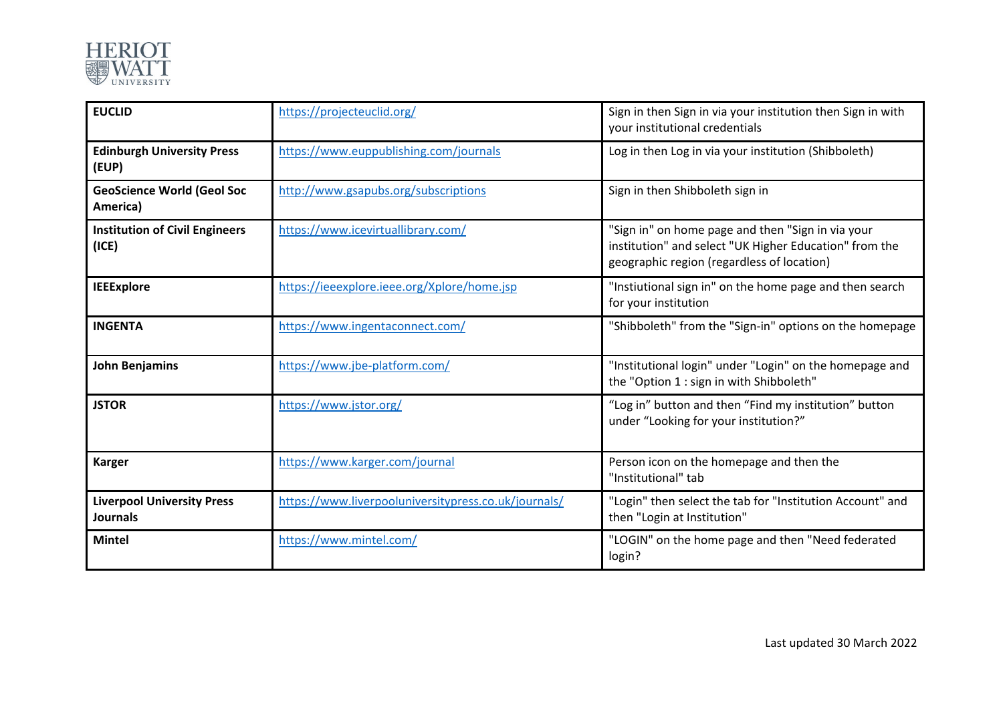

| <b>EUCLID</b>                                        | https://projecteuclid.org/                           | Sign in then Sign in via your institution then Sign in with<br>your institutional credentials                                                             |
|------------------------------------------------------|------------------------------------------------------|-----------------------------------------------------------------------------------------------------------------------------------------------------------|
| <b>Edinburgh University Press</b><br>(EUP)           | https://www.euppublishing.com/journals               | Log in then Log in via your institution (Shibboleth)                                                                                                      |
| <b>GeoScience World (Geol Soc</b><br>America)        | http://www.gsapubs.org/subscriptions                 | Sign in then Shibboleth sign in                                                                                                                           |
| <b>Institution of Civil Engineers</b><br>(ICE)       | https://www.icevirtuallibrary.com/                   | "Sign in" on home page and then "Sign in via your<br>institution" and select "UK Higher Education" from the<br>geographic region (regardless of location) |
| <b>IEEExplore</b>                                    | https://ieeexplore.ieee.org/Xplore/home.jsp          | "Instiutional sign in" on the home page and then search<br>for your institution                                                                           |
| <b>INGENTA</b>                                       | https://www.ingentaconnect.com/                      | "Shibboleth" from the "Sign-in" options on the homepage                                                                                                   |
| John Benjamins                                       | https://www.jbe-platform.com/                        | "Institutional login" under "Login" on the homepage and<br>the "Option 1 : sign in with Shibboleth"                                                       |
| <b>JSTOR</b>                                         | https://www.jstor.org/                               | "Log in" button and then "Find my institution" button<br>under "Looking for your institution?"                                                            |
| <b>Karger</b>                                        | https://www.karger.com/journal                       | Person icon on the homepage and then the<br>"Institutional" tab                                                                                           |
| <b>Liverpool University Press</b><br><b>Journals</b> | https://www.liverpooluniversitypress.co.uk/journals/ | "Login" then select the tab for "Institution Account" and<br>then "Login at Institution"                                                                  |
| <b>Mintel</b>                                        | https://www.mintel.com/                              | "LOGIN" on the home page and then "Need federated<br>login?                                                                                               |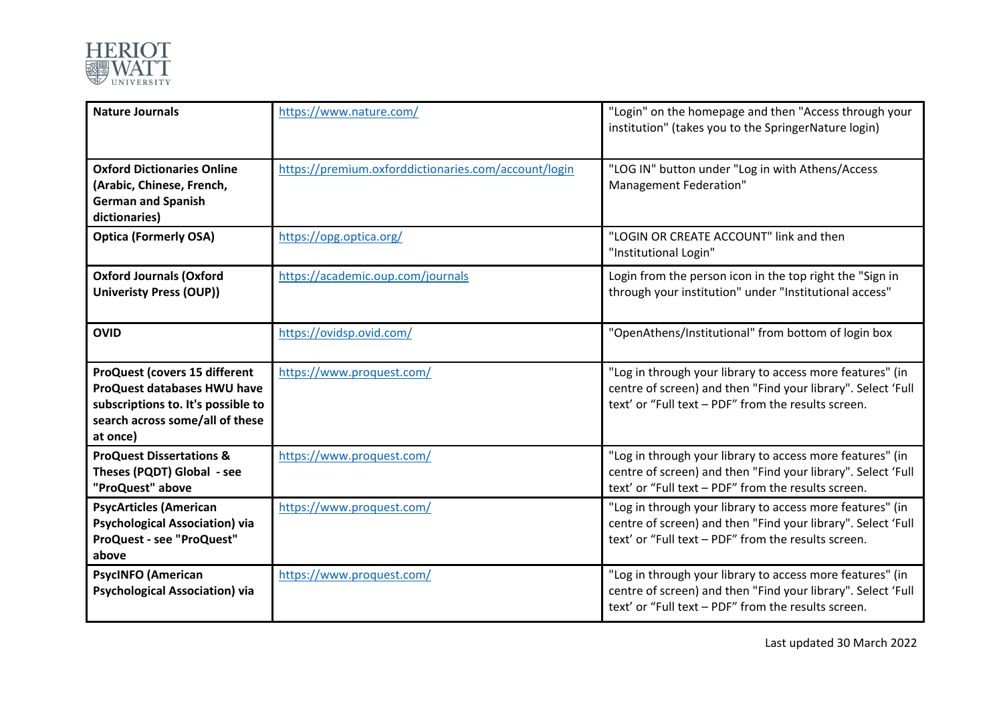

| <b>Nature Journals</b>                                                                                                                                          | https://www.nature.com/                              | "Login" on the homepage and then "Access through your<br>institution" (takes you to the SpringerNature login)                                                                    |
|-----------------------------------------------------------------------------------------------------------------------------------------------------------------|------------------------------------------------------|----------------------------------------------------------------------------------------------------------------------------------------------------------------------------------|
| <b>Oxford Dictionaries Online</b><br>(Arabic, Chinese, French,<br><b>German and Spanish</b><br>dictionaries)                                                    | https://premium.oxforddictionaries.com/account/login | "LOG IN" button under "Log in with Athens/Access<br>Management Federation"                                                                                                       |
| <b>Optica (Formerly OSA)</b>                                                                                                                                    | https://opg.optica.org/                              | "LOGIN OR CREATE ACCOUNT" link and then<br>"Institutional Login"                                                                                                                 |
| <b>Oxford Journals (Oxford</b><br><b>Univeristy Press (OUP))</b>                                                                                                | https://academic.oup.com/journals                    | Login from the person icon in the top right the "Sign in<br>through your institution" under "Institutional access"                                                               |
| <b>OVID</b>                                                                                                                                                     | https://ovidsp.ovid.com/                             | "OpenAthens/Institutional" from bottom of login box                                                                                                                              |
| <b>ProQuest (covers 15 different</b><br><b>ProQuest databases HWU have</b><br>subscriptions to. It's possible to<br>search across some/all of these<br>at once) | https://www.proquest.com/                            | "Log in through your library to access more features" (in<br>centre of screen) and then "Find your library". Select 'Full<br>text' or "Full text - PDF" from the results screen. |
| <b>ProQuest Dissertations &amp;</b><br>Theses (PQDT) Global - see<br>"ProQuest" above                                                                           | https://www.proquest.com/                            | "Log in through your library to access more features" (in<br>centre of screen) and then "Find your library". Select 'Full<br>text' or "Full text - PDF" from the results screen. |
| <b>PsycArticles (American</b><br><b>Psychological Association) via</b><br><b>ProQuest - see "ProQuest"</b><br>above                                             | https://www.proquest.com/                            | "Log in through your library to access more features" (in<br>centre of screen) and then "Find your library". Select 'Full<br>text' or "Full text - PDF" from the results screen. |
| <b>PsycINFO (American</b><br><b>Psychological Association) via</b>                                                                                              | https://www.proquest.com/                            | "Log in through your library to access more features" (in<br>centre of screen) and then "Find your library". Select 'Full<br>text' or "Full text - PDF" from the results screen. |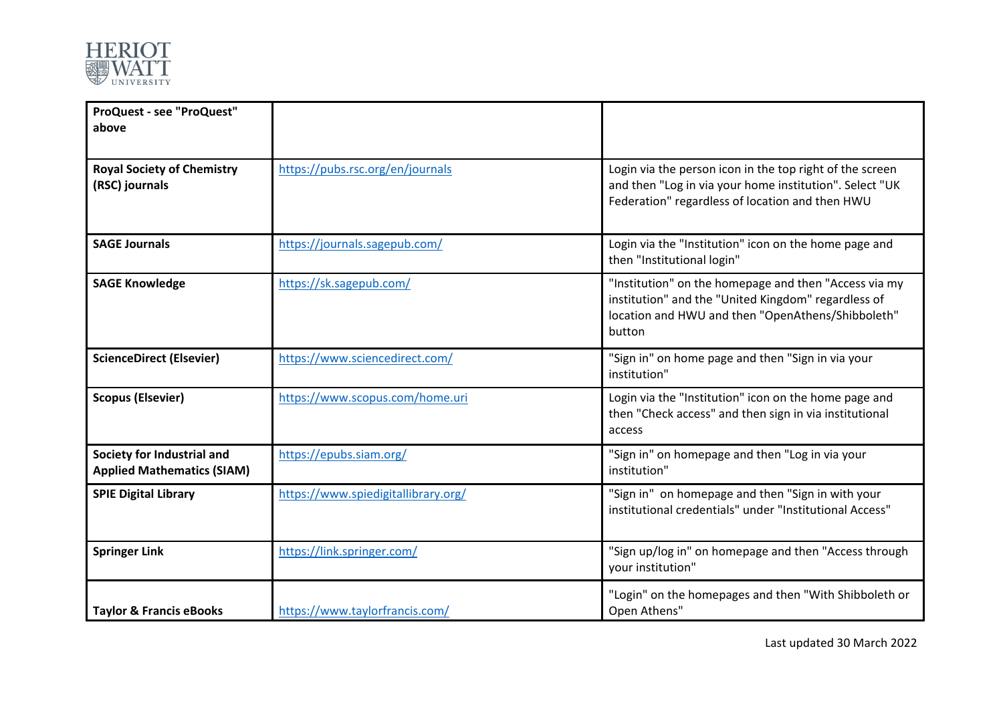

| ProQuest - see "ProQuest"<br>above                              |                                     |                                                                                                                                                                             |
|-----------------------------------------------------------------|-------------------------------------|-----------------------------------------------------------------------------------------------------------------------------------------------------------------------------|
| <b>Royal Society of Chemistry</b><br>(RSC) journals             | https://pubs.rsc.org/en/journals    | Login via the person icon in the top right of the screen<br>and then "Log in via your home institution". Select "UK<br>Federation" regardless of location and then HWU      |
| <b>SAGE Journals</b>                                            | https://journals.sagepub.com/       | Login via the "Institution" icon on the home page and<br>then "Institutional login"                                                                                         |
| <b>SAGE Knowledge</b>                                           | https://sk.sagepub.com/             | "Institution" on the homepage and then "Access via my<br>institution" and the "United Kingdom" regardless of<br>location and HWU and then "OpenAthens/Shibboleth"<br>button |
| <b>ScienceDirect (Elsevier)</b>                                 | https://www.sciencedirect.com/      | "Sign in" on home page and then "Sign in via your<br>institution"                                                                                                           |
| <b>Scopus (Elsevier)</b>                                        | https://www.scopus.com/home.uri     | Login via the "Institution" icon on the home page and<br>then "Check access" and then sign in via institutional<br>access                                                   |
| Society for Industrial and<br><b>Applied Mathematics (SIAM)</b> | https://epubs.siam.org/             | "Sign in" on homepage and then "Log in via your<br>institution"                                                                                                             |
| <b>SPIE Digital Library</b>                                     | https://www.spiedigitallibrary.org/ | "Sign in" on homepage and then "Sign in with your<br>institutional credentials" under "Institutional Access"                                                                |
| <b>Springer Link</b>                                            | https://link.springer.com/          | "Sign up/log in" on homepage and then "Access through<br>your institution"                                                                                                  |
| <b>Taylor &amp; Francis eBooks</b>                              | https://www.taylorfrancis.com/      | "Login" on the homepages and then "With Shibboleth or<br>Open Athens"                                                                                                       |